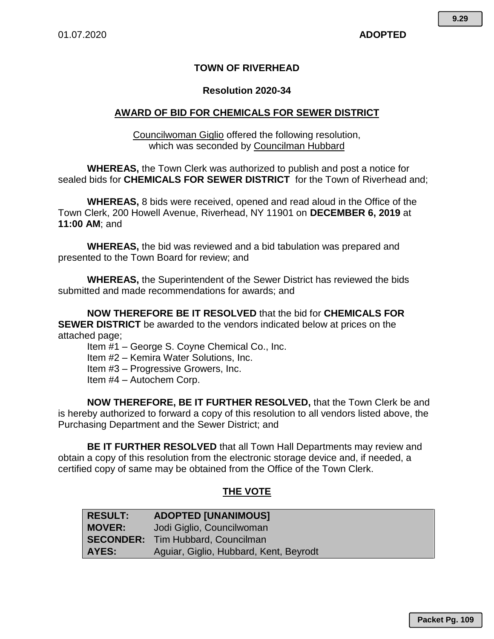### **TOWN OF RIVERHEAD**

#### **Resolution 2020-34**

#### **AWARD OF BID FOR CHEMICALS FOR SEWER DISTRICT**

Councilwoman Giglio offered the following resolution, which was seconded by Councilman Hubbard

**WHEREAS,** the Town Clerk was authorized to publish and post a notice for sealed bids for **CHEMICALS FOR SEWER DISTRICT** for the Town of Riverhead and;

**WHEREAS,** 8 bids were received, opened and read aloud in the Office of the Town Clerk, 200 Howell Avenue, Riverhead, NY 11901 on **DECEMBER 6, 2019** at **11:00 AM**; and

**WHEREAS,** the bid was reviewed and a bid tabulation was prepared and presented to the Town Board for review; and

**WHEREAS,** the Superintendent of the Sewer District has reviewed the bids submitted and made recommendations for awards; and

**NOW THEREFORE BE IT RESOLVED** that the bid for **CHEMICALS FOR SEWER DISTRICT** be awarded to the vendors indicated below at prices on the attached page;

Item #1 – George S. Coyne Chemical Co., Inc.

Item #2 – Kemira Water Solutions, Inc.

Item #3 – Progressive Growers, Inc.

Item #4 – Autochem Corp.

**NOW THEREFORE, BE IT FURTHER RESOLVED,** that the Town Clerk be and is hereby authorized to forward a copy of this resolution to all vendors listed above, the Purchasing Department and the Sewer District; and

**BE IT FURTHER RESOLVED** that all Town Hall Departments may review and obtain a copy of this resolution from the electronic storage device and, if needed, a certified copy of same may be obtained from the Office of the Town Clerk.

#### **THE VOTE**

| <b>RESULT:</b> | <b>ADOPTED [UNANIMOUS]</b>               |
|----------------|------------------------------------------|
| <b>MOVER:</b>  | Jodi Giglio, Councilwoman                |
|                | <b>SECONDER:</b> Tim Hubbard, Councilman |
| AYES:          | Aguiar, Giglio, Hubbard, Kent, Beyrodt   |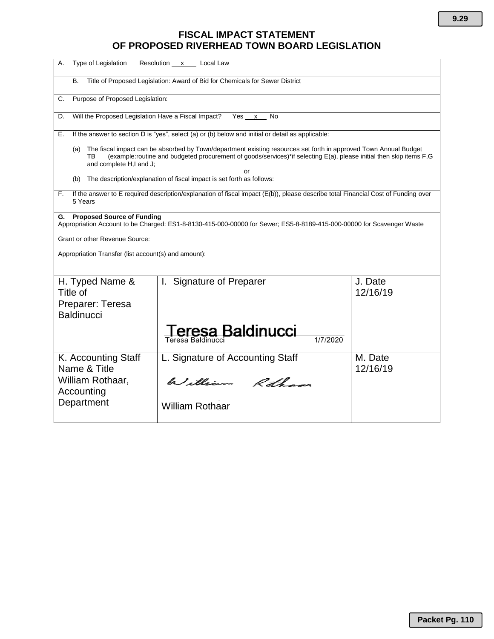# **FISCAL IMPACT STATEMENT OF PROPOSED RIVERHEAD TOWN BOARD LEGISLATION**

| Type of Legislation<br>А.                                                                                                                                                                                                                                                            | Resolution x Local Law                                                                                                |                     |  |  |  |  |  |  |  |  |  |
|--------------------------------------------------------------------------------------------------------------------------------------------------------------------------------------------------------------------------------------------------------------------------------------|-----------------------------------------------------------------------------------------------------------------------|---------------------|--|--|--|--|--|--|--|--|--|
| В.                                                                                                                                                                                                                                                                                   | Title of Proposed Legislation: Award of Bid for Chemicals for Sewer District                                          |                     |  |  |  |  |  |  |  |  |  |
| Purpose of Proposed Legislation:<br>C.                                                                                                                                                                                                                                               |                                                                                                                       |                     |  |  |  |  |  |  |  |  |  |
| Will the Proposed Legislation Have a Fiscal Impact?<br>Yes x<br>D.<br>No                                                                                                                                                                                                             |                                                                                                                       |                     |  |  |  |  |  |  |  |  |  |
| Е.                                                                                                                                                                                                                                                                                   | If the answer to section D is "yes", select (a) or (b) below and initial or detail as applicable:                     |                     |  |  |  |  |  |  |  |  |  |
| The fiscal impact can be absorbed by Town/department existing resources set forth in approved Town Annual Budget<br>(a)<br>(example:routine and budgeted procurement of goods/services)*if selecting E(a), please initial then skip items F,G<br>TB<br>and complete H,I and J;<br>or |                                                                                                                       |                     |  |  |  |  |  |  |  |  |  |
| (b)                                                                                                                                                                                                                                                                                  | The description/explanation of fiscal impact is set forth as follows:                                                 |                     |  |  |  |  |  |  |  |  |  |
| If the answer to E required description/explanation of fiscal impact (E(b)), please describe total Financial Cost of Funding over<br>F.<br>5 Years                                                                                                                                   |                                                                                                                       |                     |  |  |  |  |  |  |  |  |  |
| <b>Proposed Source of Funding</b><br>G.                                                                                                                                                                                                                                              | Appropriation Account to be Charged: ES1-8-8130-415-000-00000 for Sewer; ES5-8-8189-415-000-00000 for Scavenger Waste |                     |  |  |  |  |  |  |  |  |  |
| Grant or other Revenue Source:                                                                                                                                                                                                                                                       |                                                                                                                       |                     |  |  |  |  |  |  |  |  |  |
| Appropriation Transfer (list account(s) and amount):                                                                                                                                                                                                                                 |                                                                                                                       |                     |  |  |  |  |  |  |  |  |  |
|                                                                                                                                                                                                                                                                                      |                                                                                                                       |                     |  |  |  |  |  |  |  |  |  |
| H. Typed Name &<br>Title of                                                                                                                                                                                                                                                          | I. Signature of Preparer                                                                                              | J. Date<br>12/16/19 |  |  |  |  |  |  |  |  |  |
| Preparer: Teresa<br><b>Baldinucci</b>                                                                                                                                                                                                                                                |                                                                                                                       |                     |  |  |  |  |  |  |  |  |  |
|                                                                                                                                                                                                                                                                                      | eresa Baldinucci<br>1/7/2020<br>Teresa Baldinucci                                                                     |                     |  |  |  |  |  |  |  |  |  |
| K. Accounting Staff<br>Name & Title                                                                                                                                                                                                                                                  | L. Signature of Accounting Staff                                                                                      | M. Date<br>12/16/19 |  |  |  |  |  |  |  |  |  |
| William Rothaar,<br>Accounting                                                                                                                                                                                                                                                       | William Rothans                                                                                                       |                     |  |  |  |  |  |  |  |  |  |
| Department                                                                                                                                                                                                                                                                           | <b>William Rothaar</b>                                                                                                |                     |  |  |  |  |  |  |  |  |  |